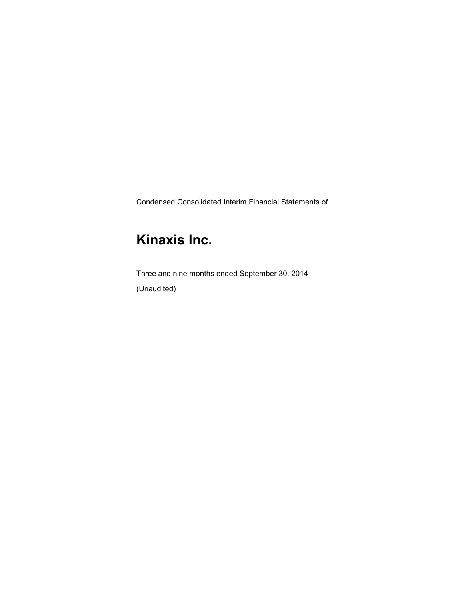Condensed Consolidated Interim Financial Statements of

# **Kinaxis Inc.**

Three and nine months ended September 30, 2014 (Unaudited)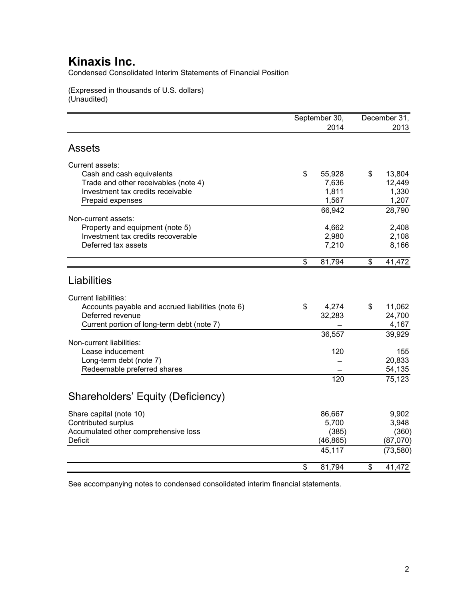Condensed Consolidated Interim Statements of Financial Position

(Expressed in thousands of U.S. dollars) (Unaudited)

|                                                   | September 30, | December 31, |           |
|---------------------------------------------------|---------------|--------------|-----------|
|                                                   | 2014          |              | 2013      |
| <b>Assets</b>                                     |               |              |           |
| Current assets:                                   |               |              |           |
| Cash and cash equivalents                         | \$<br>55,928  | S            | 13,804    |
| Trade and other receivables (note 4)              | 7,636         |              | 12,449    |
| Investment tax credits receivable                 | 1,811         |              | 1,330     |
| Prepaid expenses                                  | 1,567         |              | 1,207     |
|                                                   | 66,942        |              | 28,790    |
| Non-current assets:                               |               |              |           |
| Property and equipment (note 5)                   | 4,662         |              | 2,408     |
| Investment tax credits recoverable                | 2,980         |              | 2,108     |
| Deferred tax assets                               | 7,210         |              | 8,166     |
|                                                   | \$<br>81,794  | \$           | 41,472    |
| Liabilities                                       |               |              |           |
| <b>Current liabilities:</b>                       |               |              |           |
| Accounts payable and accrued liabilities (note 6) | \$<br>4,274   | \$           | 11,062    |
| Deferred revenue                                  | 32,283        |              | 24,700    |
| Current portion of long-term debt (note 7)        |               |              | 4,167     |
|                                                   | 36,557        |              | 39,929    |
| Non-current liabilities:                          |               |              |           |
| Lease inducement                                  | 120           |              | 155       |
| Long-term debt (note 7)                           |               |              | 20,833    |
| Redeemable preferred shares                       |               |              | 54,135    |
|                                                   | 120           |              | 75,123    |
| Shareholders' Equity (Deficiency)                 |               |              |           |
| Share capital (note 10)                           | 86,667        |              | 9,902     |
| Contributed surplus                               | 5,700         |              | 3,948     |
| Accumulated other comprehensive loss              | (385)         |              | (360)     |
| <b>Deficit</b>                                    | (46, 865)     |              | (87,070)  |
|                                                   | 45,117        |              | (73, 580) |
|                                                   | \$<br>81,794  | \$           | 41,472    |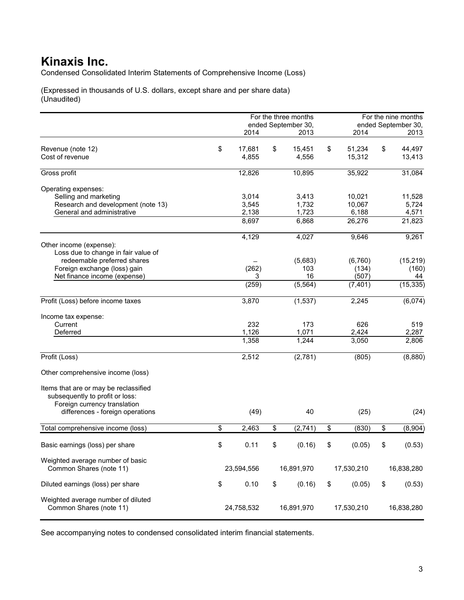Condensed Consolidated Interim Statements of Comprehensive Income (Loss)

(Expressed in thousands of U.S. dollars, except share and per share data) (Unaudited)

|                                                               |              | For the three months | For the nine months |    |                     |  |
|---------------------------------------------------------------|--------------|----------------------|---------------------|----|---------------------|--|
|                                                               |              | ended September 30,  |                     |    | ended September 30, |  |
|                                                               | 2014         | 2013                 | 2014                |    | 2013                |  |
| Revenue (note 12)                                             | \$<br>17,681 | \$<br>15,451         | \$<br>51,234        | \$ | 44,497              |  |
| Cost of revenue                                               | 4,855        | 4.556                | 15,312              |    | 13,413              |  |
| Gross profit                                                  | 12,826       | 10,895               | 35,922              |    | 31,084              |  |
| Operating expenses:                                           |              |                      |                     |    |                     |  |
| Selling and marketing                                         | 3,014        | 3,413                | 10,021              |    | 11,528              |  |
| Research and development (note 13)                            | 3,545        | 1,732                | 10,067              |    | 5,724               |  |
| General and administrative                                    | 2,138        | 1,723                | 6,188               |    | 4,571               |  |
|                                                               | 8,697        | 6,868                | 26,276              |    | 21,823              |  |
|                                                               | 4,129        | 4,027                | 9,646               |    | 9,261               |  |
| Other income (expense):                                       |              |                      |                     |    |                     |  |
| Loss due to change in fair value of                           |              |                      |                     |    |                     |  |
| redeemable preferred shares                                   |              | (5,683)              | (6,760)             |    | (15, 219)           |  |
| Foreign exchange (loss) gain                                  | (262)        | 103                  | (134)               |    | (160)               |  |
| Net finance income (expense)                                  | 3            | 16                   | (507)               |    | 44                  |  |
|                                                               | (259)        | (5, 564)             | (7, 401)            |    | (15, 335)           |  |
| Profit (Loss) before income taxes                             | 3,870        | (1, 537)             | 2,245               |    | (6,074)             |  |
| Income tax expense:                                           |              |                      |                     |    |                     |  |
| Current                                                       | 232          | 173                  | 626                 |    | 519                 |  |
| Deferred                                                      | 1,126        | 1,071                | 2,424               |    | 2,287               |  |
|                                                               | 1,358        | 1,244                | 3,050               |    | 2,806               |  |
| Profit (Loss)                                                 | 2,512        | (2,781)              | (805)               |    | (8,880)             |  |
| Other comprehensive income (loss)                             |              |                      |                     |    |                     |  |
| Items that are or may be reclassified                         |              |                      |                     |    |                     |  |
| subsequently to profit or loss:                               |              |                      |                     |    |                     |  |
| Foreign currency translation                                  |              |                      |                     |    |                     |  |
| differences - foreign operations                              | (49)         | 40                   | (25)                |    | (24)                |  |
| Total comprehensive income (loss)                             | \$<br>2,463  | \$<br>(2,741)        | \$<br>(830)         | \$ | (8,904)             |  |
| Basic earnings (loss) per share                               | \$<br>0.11   | \$<br>(0.16)         | \$<br>(0.05)        | \$ | (0.53)              |  |
| Weighted average number of basic<br>Common Shares (note 11)   | 23,594,556   | 16,891,970           | 17,530,210          |    | 16,838,280          |  |
|                                                               |              |                      |                     |    |                     |  |
| Diluted earnings (loss) per share                             | \$<br>0.10   | \$<br>(0.16)         | \$<br>(0.05)        | \$ | (0.53)              |  |
| Weighted average number of diluted<br>Common Shares (note 11) | 24,758,532   | 16,891,970           | 17,530,210          |    | 16,838,280          |  |
|                                                               |              |                      |                     |    |                     |  |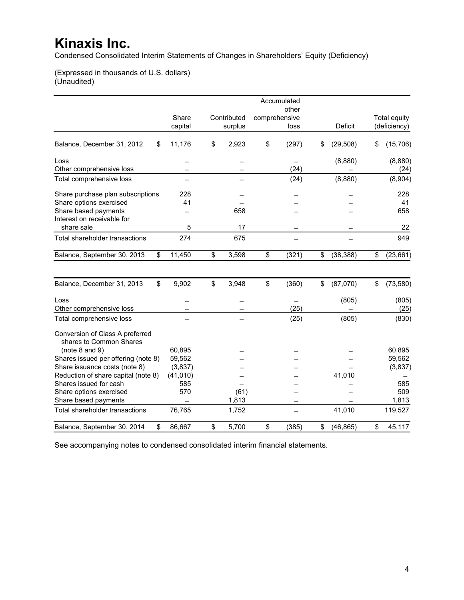Condensed Consolidated Interim Statements of Changes in Shareholders' Equity (Deficiency)

(Expressed in thousands of U.S. dollars) (Unaudited)

|                                                                      |                   |             | Accumulated            |                 |                   |
|----------------------------------------------------------------------|-------------------|-------------|------------------------|-----------------|-------------------|
|                                                                      | Share             | Contributed | other<br>comprehensive |                 | Total equity      |
|                                                                      | capital           | surplus     | loss                   | <b>Deficit</b>  | (deficiency)      |
| Balance, December 31, 2012<br>\$                                     | 11,176            | \$<br>2,923 | \$<br>(297)            | \$<br>(29, 508) | \$<br>(15, 706)   |
| Loss                                                                 |                   |             |                        | (8,880)         | (8,880)           |
| Other comprehensive loss                                             |                   |             | (24)                   |                 | (24)              |
| Total comprehensive loss                                             |                   |             | (24)                   | (8,880)         | (8,904)           |
| Share purchase plan subscriptions<br>Share options exercised         | 228<br>41         |             |                        |                 | 228<br>41         |
| Share based payments<br>Interest on receivable for                   |                   | 658         |                        |                 | 658               |
| share sale                                                           | 5                 | 17          |                        |                 | 22                |
| Total shareholder transactions                                       | 274               | 675         |                        |                 | 949               |
| Balance, September 30, 2013<br>\$                                    | 11,450            | \$<br>3,598 | \$<br>(321)            | \$<br>(38, 388) | \$<br>(23, 661)   |
| \$<br>Balance, December 31, 2013                                     | 9,902             | \$<br>3,948 | \$<br>(360)            | \$<br>(87,070)  | \$<br>(73, 580)   |
| Loss                                                                 |                   |             |                        | (805)           | (805)             |
| Other comprehensive loss                                             |                   |             | (25)                   |                 | (25)              |
| Total comprehensive loss                                             |                   |             | (25)                   | (805)           | (830)             |
| Conversion of Class A preferred<br>shares to Common Shares           |                   |             |                        |                 |                   |
| (note 8 and 9)                                                       | 60,895            |             |                        |                 | 60,895            |
| Shares issued per offering (note 8)<br>Share issuance costs (note 8) | 59,562<br>(3,837) |             |                        |                 | 59,562<br>(3,837) |
| Reduction of share capital (note 8)                                  | (41, 010)         |             |                        | 41,010          |                   |
| Shares issued for cash                                               | 585               |             |                        |                 | 585               |
| Share options exercised                                              | 570               | (61)        |                        |                 | 509               |
| Share based payments                                                 |                   | 1,813       |                        |                 | 1,813             |
| Total shareholder transactions                                       | 76,765            | 1,752       |                        | 41,010          | 119,527           |
| \$<br>Balance, September 30, 2014                                    | 86,667            | \$<br>5,700 | \$<br>(385)            | \$<br>(46, 865) | \$<br>45,117      |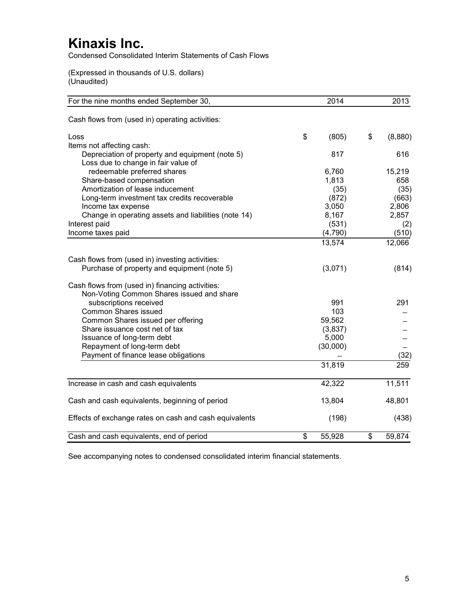Condensed Consolidated Interim Statements of Cash Flows

(Expressed in thousands of U.S. dollars) (Unaudited)

| Cash flows from (used in) operating activities:<br>\$<br>(805)<br>\$<br>Loss<br>Items not affecting cash:<br>Depreciation of property and equipment (note 5)<br>817<br>616<br>Loss due to change in fair value of<br>redeemable preferred shares<br>6,760<br>15,219<br>1,813<br>Share-based compensation<br>658<br>Amortization of lease inducement<br>(35)<br>Long-term investment tax credits recoverable<br>(872)<br>2,806<br>3,050<br>Income tax expense<br>Change in operating assets and liabilities (note 14)<br>8,167<br>2,857<br>Interest paid<br>(531)<br>(2)<br>(510)<br>Income taxes paid<br>(4,790)<br>13,574<br>12,066<br>Cash flows from (used in) investing activities:<br>Purchase of property and equipment (note 5)<br>(3,071)<br>Cash flows from (used in) financing activities:<br>Non-Voting Common Shares issued and share<br>subscriptions received<br>991<br>291<br>103<br><b>Common Shares issued</b><br>59,562<br>Common Shares issued per offering<br>Share issuance cost net of tax<br>(3,837)<br>5,000<br>Issuance of long-term debt<br>Repayment of long-term debt<br>(30,000)<br>Payment of finance lease obligations<br>(32)<br>31,819<br>259<br>11,511<br>42,322<br>Increase in cash and cash equivalents<br>48,801<br>13,804<br>Cash and cash equivalents, beginning of period<br>(198)<br>Effects of exchange rates on cash and cash equivalents | For the nine months ended September 30,  | 2014         | 2013         |
|--------------------------------------------------------------------------------------------------------------------------------------------------------------------------------------------------------------------------------------------------------------------------------------------------------------------------------------------------------------------------------------------------------------------------------------------------------------------------------------------------------------------------------------------------------------------------------------------------------------------------------------------------------------------------------------------------------------------------------------------------------------------------------------------------------------------------------------------------------------------------------------------------------------------------------------------------------------------------------------------------------------------------------------------------------------------------------------------------------------------------------------------------------------------------------------------------------------------------------------------------------------------------------------------------------------------------------------------------------------------------------------|------------------------------------------|--------------|--------------|
|                                                                                                                                                                                                                                                                                                                                                                                                                                                                                                                                                                                                                                                                                                                                                                                                                                                                                                                                                                                                                                                                                                                                                                                                                                                                                                                                                                                      |                                          |              |              |
|                                                                                                                                                                                                                                                                                                                                                                                                                                                                                                                                                                                                                                                                                                                                                                                                                                                                                                                                                                                                                                                                                                                                                                                                                                                                                                                                                                                      |                                          |              | (8,880)      |
|                                                                                                                                                                                                                                                                                                                                                                                                                                                                                                                                                                                                                                                                                                                                                                                                                                                                                                                                                                                                                                                                                                                                                                                                                                                                                                                                                                                      |                                          |              |              |
|                                                                                                                                                                                                                                                                                                                                                                                                                                                                                                                                                                                                                                                                                                                                                                                                                                                                                                                                                                                                                                                                                                                                                                                                                                                                                                                                                                                      |                                          |              |              |
|                                                                                                                                                                                                                                                                                                                                                                                                                                                                                                                                                                                                                                                                                                                                                                                                                                                                                                                                                                                                                                                                                                                                                                                                                                                                                                                                                                                      |                                          |              |              |
|                                                                                                                                                                                                                                                                                                                                                                                                                                                                                                                                                                                                                                                                                                                                                                                                                                                                                                                                                                                                                                                                                                                                                                                                                                                                                                                                                                                      |                                          |              |              |
|                                                                                                                                                                                                                                                                                                                                                                                                                                                                                                                                                                                                                                                                                                                                                                                                                                                                                                                                                                                                                                                                                                                                                                                                                                                                                                                                                                                      |                                          |              | (35)         |
|                                                                                                                                                                                                                                                                                                                                                                                                                                                                                                                                                                                                                                                                                                                                                                                                                                                                                                                                                                                                                                                                                                                                                                                                                                                                                                                                                                                      |                                          |              | (663)        |
|                                                                                                                                                                                                                                                                                                                                                                                                                                                                                                                                                                                                                                                                                                                                                                                                                                                                                                                                                                                                                                                                                                                                                                                                                                                                                                                                                                                      |                                          |              |              |
|                                                                                                                                                                                                                                                                                                                                                                                                                                                                                                                                                                                                                                                                                                                                                                                                                                                                                                                                                                                                                                                                                                                                                                                                                                                                                                                                                                                      |                                          |              |              |
|                                                                                                                                                                                                                                                                                                                                                                                                                                                                                                                                                                                                                                                                                                                                                                                                                                                                                                                                                                                                                                                                                                                                                                                                                                                                                                                                                                                      |                                          |              |              |
|                                                                                                                                                                                                                                                                                                                                                                                                                                                                                                                                                                                                                                                                                                                                                                                                                                                                                                                                                                                                                                                                                                                                                                                                                                                                                                                                                                                      |                                          |              |              |
|                                                                                                                                                                                                                                                                                                                                                                                                                                                                                                                                                                                                                                                                                                                                                                                                                                                                                                                                                                                                                                                                                                                                                                                                                                                                                                                                                                                      |                                          |              |              |
|                                                                                                                                                                                                                                                                                                                                                                                                                                                                                                                                                                                                                                                                                                                                                                                                                                                                                                                                                                                                                                                                                                                                                                                                                                                                                                                                                                                      |                                          |              |              |
|                                                                                                                                                                                                                                                                                                                                                                                                                                                                                                                                                                                                                                                                                                                                                                                                                                                                                                                                                                                                                                                                                                                                                                                                                                                                                                                                                                                      |                                          |              | (814)        |
|                                                                                                                                                                                                                                                                                                                                                                                                                                                                                                                                                                                                                                                                                                                                                                                                                                                                                                                                                                                                                                                                                                                                                                                                                                                                                                                                                                                      |                                          |              |              |
|                                                                                                                                                                                                                                                                                                                                                                                                                                                                                                                                                                                                                                                                                                                                                                                                                                                                                                                                                                                                                                                                                                                                                                                                                                                                                                                                                                                      |                                          |              |              |
|                                                                                                                                                                                                                                                                                                                                                                                                                                                                                                                                                                                                                                                                                                                                                                                                                                                                                                                                                                                                                                                                                                                                                                                                                                                                                                                                                                                      |                                          |              |              |
|                                                                                                                                                                                                                                                                                                                                                                                                                                                                                                                                                                                                                                                                                                                                                                                                                                                                                                                                                                                                                                                                                                                                                                                                                                                                                                                                                                                      |                                          |              |              |
|                                                                                                                                                                                                                                                                                                                                                                                                                                                                                                                                                                                                                                                                                                                                                                                                                                                                                                                                                                                                                                                                                                                                                                                                                                                                                                                                                                                      |                                          |              |              |
|                                                                                                                                                                                                                                                                                                                                                                                                                                                                                                                                                                                                                                                                                                                                                                                                                                                                                                                                                                                                                                                                                                                                                                                                                                                                                                                                                                                      |                                          |              |              |
|                                                                                                                                                                                                                                                                                                                                                                                                                                                                                                                                                                                                                                                                                                                                                                                                                                                                                                                                                                                                                                                                                                                                                                                                                                                                                                                                                                                      |                                          |              |              |
|                                                                                                                                                                                                                                                                                                                                                                                                                                                                                                                                                                                                                                                                                                                                                                                                                                                                                                                                                                                                                                                                                                                                                                                                                                                                                                                                                                                      |                                          |              |              |
|                                                                                                                                                                                                                                                                                                                                                                                                                                                                                                                                                                                                                                                                                                                                                                                                                                                                                                                                                                                                                                                                                                                                                                                                                                                                                                                                                                                      |                                          |              |              |
|                                                                                                                                                                                                                                                                                                                                                                                                                                                                                                                                                                                                                                                                                                                                                                                                                                                                                                                                                                                                                                                                                                                                                                                                                                                                                                                                                                                      |                                          |              |              |
|                                                                                                                                                                                                                                                                                                                                                                                                                                                                                                                                                                                                                                                                                                                                                                                                                                                                                                                                                                                                                                                                                                                                                                                                                                                                                                                                                                                      |                                          |              |              |
|                                                                                                                                                                                                                                                                                                                                                                                                                                                                                                                                                                                                                                                                                                                                                                                                                                                                                                                                                                                                                                                                                                                                                                                                                                                                                                                                                                                      |                                          |              |              |
|                                                                                                                                                                                                                                                                                                                                                                                                                                                                                                                                                                                                                                                                                                                                                                                                                                                                                                                                                                                                                                                                                                                                                                                                                                                                                                                                                                                      |                                          |              | (438)        |
|                                                                                                                                                                                                                                                                                                                                                                                                                                                                                                                                                                                                                                                                                                                                                                                                                                                                                                                                                                                                                                                                                                                                                                                                                                                                                                                                                                                      | Cash and cash equivalents, end of period | \$<br>55,928 | \$<br>59,874 |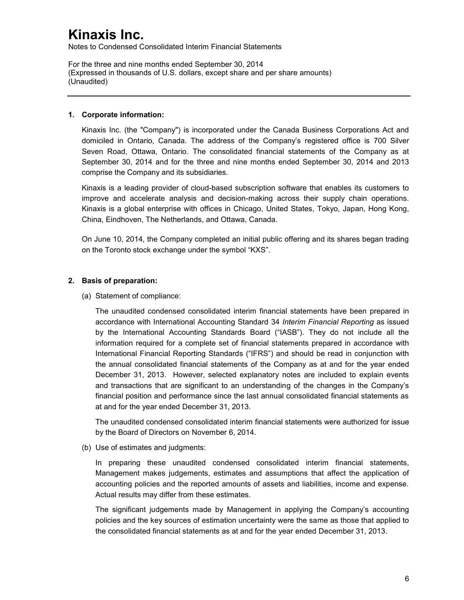Notes to Condensed Consolidated Interim Financial Statements

For the three and nine months ended September 30, 2014 (Expressed in thousands of U.S. dollars, except share and per share amounts) (Unaudited)

### **1. Corporate information:**

Kinaxis Inc. (the "Company") is incorporated under the Canada Business Corporations Act and domiciled in Ontario, Canada. The address of the Company's registered office is 700 Silver Seven Road, Ottawa, Ontario. The consolidated financial statements of the Company as at September 30, 2014 and for the three and nine months ended September 30, 2014 and 2013 comprise the Company and its subsidiaries.

Kinaxis is a leading provider of cloud-based subscription software that enables its customers to improve and accelerate analysis and decision-making across their supply chain operations. Kinaxis is a global enterprise with offices in Chicago, United States, Tokyo, Japan, Hong Kong, China, Eindhoven, The Netherlands, and Ottawa, Canada.

On June 10, 2014, the Company completed an initial public offering and its shares began trading on the Toronto stock exchange under the symbol "KXS".

### **2. Basis of preparation:**

(a) Statement of compliance:

The unaudited condensed consolidated interim financial statements have been prepared in accordance with International Accounting Standard 34 *Interim Financial Reporting* as issued by the International Accounting Standards Board ("IASB"). They do not include all the information required for a complete set of financial statements prepared in accordance with International Financial Reporting Standards ("IFRS") and should be read in conjunction with the annual consolidated financial statements of the Company as at and for the year ended December 31, 2013. However, selected explanatory notes are included to explain events and transactions that are significant to an understanding of the changes in the Company's financial position and performance since the last annual consolidated financial statements as at and for the year ended December 31, 2013.

The unaudited condensed consolidated interim financial statements were authorized for issue by the Board of Directors on November 6, 2014.

(b) Use of estimates and judgments:

In preparing these unaudited condensed consolidated interim financial statements, Management makes judgements, estimates and assumptions that affect the application of accounting policies and the reported amounts of assets and liabilities, income and expense. Actual results may differ from these estimates.

The significant judgements made by Management in applying the Company's accounting policies and the key sources of estimation uncertainty were the same as those that applied to the consolidated financial statements as at and for the year ended December 31, 2013.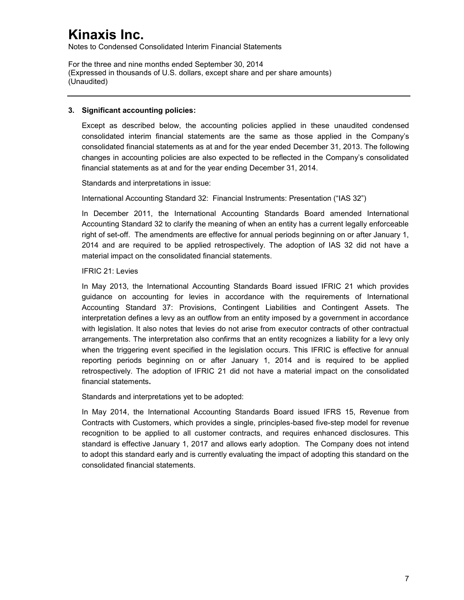Notes to Condensed Consolidated Interim Financial Statements

For the three and nine months ended September 30, 2014 (Expressed in thousands of U.S. dollars, except share and per share amounts) (Unaudited)

### **3. Significant accounting policies:**

Except as described below, the accounting policies applied in these unaudited condensed consolidated interim financial statements are the same as those applied in the Company's consolidated financial statements as at and for the year ended December 31, 2013. The following changes in accounting policies are also expected to be reflected in the Company's consolidated financial statements as at and for the year ending December 31, 2014.

Standards and interpretations in issue:

International Accounting Standard 32: Financial Instruments: Presentation ("IAS 32")

In December 2011, the International Accounting Standards Board amended International Accounting Standard 32 to clarify the meaning of when an entity has a current legally enforceable right of set-off. The amendments are effective for annual periods beginning on or after January 1, 2014 and are required to be applied retrospectively. The adoption of IAS 32 did not have a material impact on the consolidated financial statements.

### IFRIC 21: Levies

In May 2013, the International Accounting Standards Board issued IFRIC 21 which provides guidance on accounting for levies in accordance with the requirements of International Accounting Standard 37: Provisions, Contingent Liabilities and Contingent Assets. The interpretation defines a levy as an outflow from an entity imposed by a government in accordance with legislation. It also notes that levies do not arise from executor contracts of other contractual arrangements. The interpretation also confirms that an entity recognizes a liability for a levy only when the triggering event specified in the legislation occurs. This IFRIC is effective for annual reporting periods beginning on or after January 1, 2014 and is required to be applied retrospectively. The adoption of IFRIC 21 did not have a material impact on the consolidated financial statements**.**

Standards and interpretations yet to be adopted:

In May 2014, the International Accounting Standards Board issued IFRS 15, Revenue from Contracts with Customers, which provides a single, principles-based five-step model for revenue recognition to be applied to all customer contracts, and requires enhanced disclosures. This standard is effective January 1, 2017 and allows early adoption. The Company does not intend to adopt this standard early and is currently evaluating the impact of adopting this standard on the consolidated financial statements.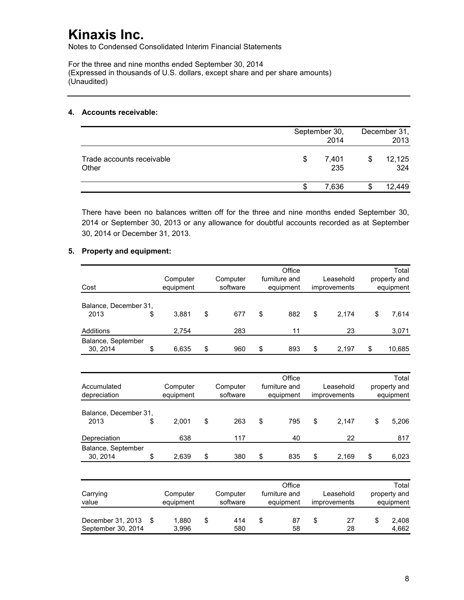Notes to Condensed Consolidated Interim Financial Statements

For the three and nine months ended September 30, 2014 (Expressed in thousands of U.S. dollars, except share and per share amounts) (Unaudited)

### **4. Accounts receivable:**

|                                    | September 30, | December 31,<br>2013 |    |               |
|------------------------------------|---------------|----------------------|----|---------------|
| Trade accounts receivable<br>Other | S             | 7,401<br>235         | \$ | 12,125<br>324 |
|                                    | \$.           | 7,636                |    | 12,449        |

There have been no balances written off for the three and nine months ended September 30, 2014 or September 30, 2013 or any allowance for doubtful accounts recorded as at September 30, 2014 or December 31, 2013.

### **5. Property and equipment:**

|                       |             |           | Office        |              | Total        |
|-----------------------|-------------|-----------|---------------|--------------|--------------|
|                       | Computer    | Computer  | furniture and | Leasehold    | property and |
| Cost                  | equipment   | software  | equipment     | improvements | equipment    |
|                       |             |           |               |              |              |
| Balance, December 31, |             |           |               |              |              |
| 2013                  | \$<br>3,881 | \$<br>677 | \$<br>882     | \$<br>2,174  | \$<br>7,614  |
| Additions             | 2,754       | 283       | 11            | 23           | 3,071        |
| Balance, September    |             |           |               |              |              |
| 30, 2014              | \$<br>6,635 | \$<br>960 | \$<br>893     | \$<br>2,197  | \$<br>10,685 |
|                       |             |           |               |              |              |
|                       |             |           | Office        |              | Total        |
| Accumulated           | Computer    | Computer  | furniture and | Leasehold    | property and |
| depreciation          | equipment   | software  | equipment     | improvements | equipment    |
|                       |             |           |               |              |              |
| Balance, December 31, |             |           |               |              |              |
| 2013                  | \$<br>2,001 | \$<br>263 | \$<br>795     | \$<br>2,147  | \$<br>5,206  |
| Depreciation          | 638         | 117       | 40            | 22           | 817          |
| Balance, September    |             |           |               |              |              |
| 30, 2014              | \$<br>2,639 | \$<br>380 | \$<br>835     | \$<br>2.169  | \$<br>6,023  |
|                       |             |           |               |              |              |
|                       |             |           | Office        |              | Total        |
| Carrying              | Computer    | Computer  | furniture and | Leasehold    | property and |
| value                 | equipment   | software  | equipment     | improvements | equipment    |
|                       |             |           |               |              |              |
| December 31, 2013     | \$<br>1,880 | \$<br>414 | \$<br>87      | \$<br>27     | \$<br>2,408  |
| September 30, 2014    | 3,996       | 580       | 58            | 28           | 4,662        |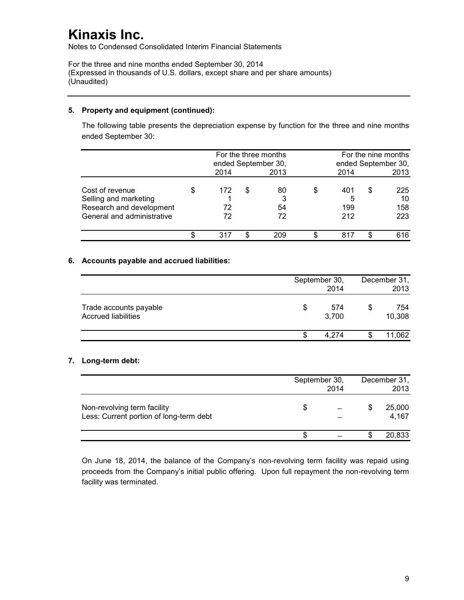Notes to Condensed Consolidated Interim Financial Statements

For the three and nine months ended September 30, 2014 (Expressed in thousands of U.S. dollars, except share and per share amounts) (Unaudited)

### **5. Property and equipment (continued):**

The following table presents the depreciation expense by function for the three and nine months ended September 30:

|                                                                                                    |                 |   | For the three months<br>ended September 30, | For the nine months<br>ended September 30, |   |                         |  |
|----------------------------------------------------------------------------------------------------|-----------------|---|---------------------------------------------|--------------------------------------------|---|-------------------------|--|
|                                                                                                    | 2014            |   | 2013                                        | 2014                                       |   | 2013                    |  |
| Cost of revenue<br>Selling and marketing<br>Research and development<br>General and administrative | 172<br>72<br>72 | S | 80<br>3<br>54<br>72                         | \$<br>401<br>5<br>199<br>212               | S | 225<br>10<br>158<br>223 |  |
|                                                                                                    | 317             |   |                                             | 81.                                        |   | 616                     |  |

### **6. Accounts payable and accrued liabilities:**

|                                                      |     | September 30,<br>2014 | December 31,<br>2013 |
|------------------------------------------------------|-----|-----------------------|----------------------|
| Trade accounts payable<br><b>Accrued liabilities</b> | \$  | 574<br>3,700          | \$<br>754<br>10,308  |
|                                                      | \$. | 4.274                 | 11,062               |

### **7. Long-term debt:**

|                                                                        |   | September 30,<br>2014 | December 31,<br>2013 |
|------------------------------------------------------------------------|---|-----------------------|----------------------|
| Non-revolving term facility<br>Less: Current portion of long-term debt | S |                       | 25,000<br>4,167      |
|                                                                        |   |                       | 20,833               |

On June 18, 2014, the balance of the Company's non-revolving term facility was repaid using proceeds from the Company's initial public offering. Upon full repayment the non-revolving term facility was terminated.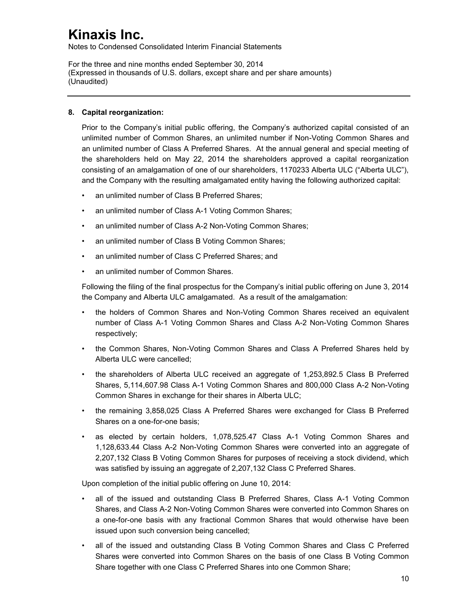Notes to Condensed Consolidated Interim Financial Statements

For the three and nine months ended September 30, 2014 (Expressed in thousands of U.S. dollars, except share and per share amounts) (Unaudited)

### **8. Capital reorganization:**

Prior to the Company's initial public offering, the Company's authorized capital consisted of an unlimited number of Common Shares, an unlimited number if Non-Voting Common Shares and an unlimited number of Class A Preferred Shares. At the annual general and special meeting of the shareholders held on May 22, 2014 the shareholders approved a capital reorganization consisting of an amalgamation of one of our shareholders, 1170233 Alberta ULC ("Alberta ULC"), and the Company with the resulting amalgamated entity having the following authorized capital:

- an unlimited number of Class B Preferred Shares;
- an unlimited number of Class A-1 Voting Common Shares;
- an unlimited number of Class A-2 Non-Voting Common Shares;
- an unlimited number of Class B Voting Common Shares;
- an unlimited number of Class C Preferred Shares; and
- an unlimited number of Common Shares.

Following the filing of the final prospectus for the Company's initial public offering on June 3, 2014 the Company and Alberta ULC amalgamated. As a result of the amalgamation:

- the holders of Common Shares and Non-Voting Common Shares received an equivalent number of Class A-1 Voting Common Shares and Class A-2 Non-Voting Common Shares respectively;
- the Common Shares, Non-Voting Common Shares and Class A Preferred Shares held by Alberta ULC were cancelled;
- the shareholders of Alberta ULC received an aggregate of 1,253,892.5 Class B Preferred Shares, 5,114,607.98 Class A-1 Voting Common Shares and 800,000 Class A-2 Non-Voting Common Shares in exchange for their shares in Alberta ULC;
- the remaining 3,858,025 Class A Preferred Shares were exchanged for Class B Preferred Shares on a one-for-one basis;
- as elected by certain holders, 1,078,525.47 Class A-1 Voting Common Shares and 1,128,633.44 Class A-2 Non-Voting Common Shares were converted into an aggregate of 2,207,132 Class B Voting Common Shares for purposes of receiving a stock dividend, which was satisfied by issuing an aggregate of 2,207,132 Class C Preferred Shares.

Upon completion of the initial public offering on June 10, 2014:

- all of the issued and outstanding Class B Preferred Shares, Class A-1 Voting Common Shares, and Class A-2 Non-Voting Common Shares were converted into Common Shares on a one-for-one basis with any fractional Common Shares that would otherwise have been issued upon such conversion being cancelled;
- all of the issued and outstanding Class B Voting Common Shares and Class C Preferred Shares were converted into Common Shares on the basis of one Class B Voting Common Share together with one Class C Preferred Shares into one Common Share;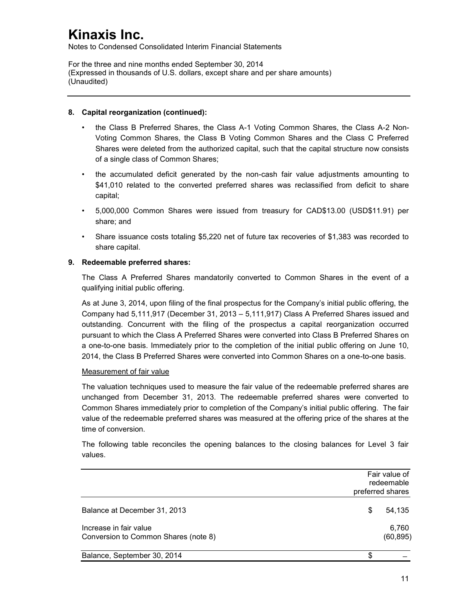Notes to Condensed Consolidated Interim Financial Statements

For the three and nine months ended September 30, 2014 (Expressed in thousands of U.S. dollars, except share and per share amounts) (Unaudited)

### **8. Capital reorganization (continued):**

- the Class B Preferred Shares, the Class A-1 Voting Common Shares, the Class A-2 Non-Voting Common Shares, the Class B Voting Common Shares and the Class C Preferred Shares were deleted from the authorized capital, such that the capital structure now consists of a single class of Common Shares;
- the accumulated deficit generated by the non-cash fair value adjustments amounting to \$41,010 related to the converted preferred shares was reclassified from deficit to share capital;
- 5,000,000 Common Shares were issued from treasury for CAD\$13.00 (USD\$11.91) per share; and
- Share issuance costs totaling \$5,220 net of future tax recoveries of \$1,383 was recorded to share capital.

### **9. Redeemable preferred shares:**

The Class A Preferred Shares mandatorily converted to Common Shares in the event of a qualifying initial public offering.

As at June 3, 2014, upon filing of the final prospectus for the Company's initial public offering, the Company had 5,111,917 (December 31, 2013 – 5,111,917) Class A Preferred Shares issued and outstanding. Concurrent with the filing of the prospectus a capital reorganization occurred pursuant to which the Class A Preferred Shares were converted into Class B Preferred Shares on a one-to-one basis. Immediately prior to the completion of the initial public offering on June 10, 2014, the Class B Preferred Shares were converted into Common Shares on a one-to-one basis.

### Measurement of fair value

The valuation techniques used to measure the fair value of the redeemable preferred shares are unchanged from December 31, 2013. The redeemable preferred shares were converted to Common Shares immediately prior to completion of the Company's initial public offering. The fair value of the redeemable preferred shares was measured at the offering price of the shares at the time of conversion.

The following table reconciles the opening balances to the closing balances for Level 3 fair values.

|                                                                | Fair value of<br>redeemable<br>preferred shares |
|----------------------------------------------------------------|-------------------------------------------------|
| Balance at December 31, 2013                                   | 54,135<br>\$                                    |
| Increase in fair value<br>Conversion to Common Shares (note 8) | 6,760<br>(60, 895)                              |
| Balance, September 30, 2014                                    |                                                 |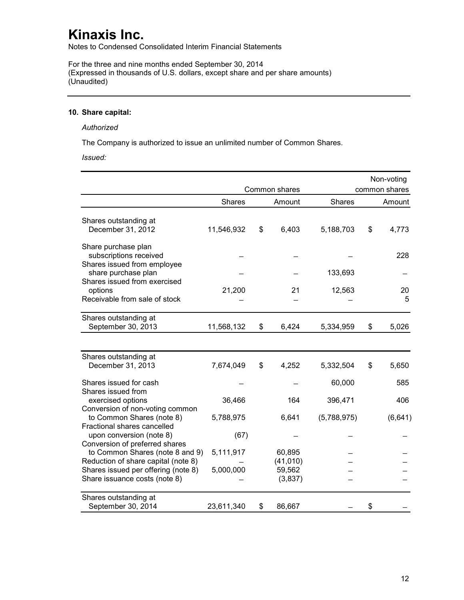Notes to Condensed Consolidated Interim Financial Statements

For the three and nine months ended September 30, 2014 (Expressed in thousands of U.S. dollars, except share and per share amounts) (Unaudited)

### **10. Share capital:**

#### *Authorized*

The Company is authorized to issue an unlimited number of Common Shares.

*Issued:*

|                                                                              |               |                     |               | Non-voting    |
|------------------------------------------------------------------------------|---------------|---------------------|---------------|---------------|
|                                                                              |               | Common shares       |               | common shares |
|                                                                              | <b>Shares</b> | Amount              | <b>Shares</b> | Amount        |
| Shares outstanding at<br>December 31, 2012                                   | 11,546,932    | \$<br>6,403         | 5,188,703     | \$<br>4,773   |
| Share purchase plan<br>subscriptions received<br>Shares issued from employee |               |                     |               | 228           |
| share purchase plan                                                          |               |                     | 133,693       |               |
| Shares issued from exercised<br>options<br>Receivable from sale of stock     | 21,200        | 21                  | 12,563        | 20<br>5       |
| Shares outstanding at<br>September 30, 2013                                  | 11,568,132    | \$<br>6,424         | 5,334,959     | \$<br>5,026   |
|                                                                              |               |                     |               |               |
| Shares outstanding at<br>December 31, 2013                                   | 7,674,049     | \$<br>4,252         | 5,332,504     | \$<br>5,650   |
| Shares issued for cash                                                       |               |                     | 60,000        | 585           |
| Shares issued from<br>exercised options<br>Conversion of non-voting common   | 36,466        | 164                 | 396,471       | 406           |
| to Common Shares (note 8)<br>Fractional shares cancelled                     | 5,788,975     | 6,641               | (5,788,975)   | (6, 641)      |
| upon conversion (note 8)<br>Conversion of preferred shares                   | (67)          |                     |               |               |
| to Common Shares (note 8 and 9)<br>Reduction of share capital (note 8)       | 5,111,917     | 60,895<br>(41, 010) |               |               |
| Shares issued per offering (note 8)<br>Share issuance costs (note 8)         | 5,000,000     | 59,562<br>(3,837)   |               |               |
| Shares outstanding at<br>September 30, 2014                                  | 23,611,340    | \$<br>86,667        |               | \$            |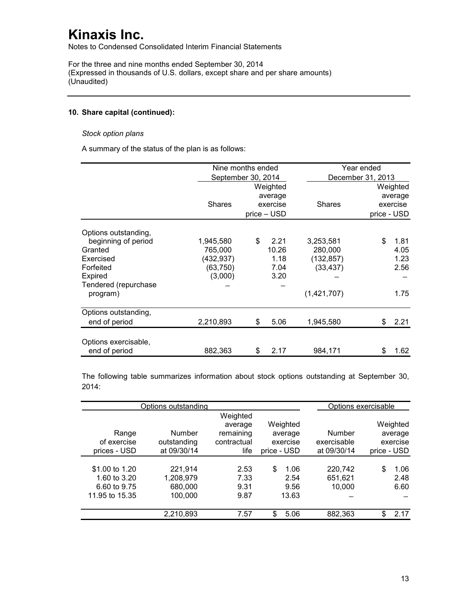Notes to Condensed Consolidated Interim Financial Statements

For the three and nine months ended September 30, 2014 (Expressed in thousands of U.S. dollars, except share and per share amounts) (Unaudited)

### **10. Share capital (continued):**

#### *Stock option plans*

A summary of the status of the plan is as follows:

|                      | Nine months ended  |             |               | Year ended        |          |  |  |  |
|----------------------|--------------------|-------------|---------------|-------------------|----------|--|--|--|
|                      | September 30, 2014 |             |               | December 31, 2013 |          |  |  |  |
|                      |                    | Weighted    |               | Weighted          |          |  |  |  |
|                      |                    | average     |               | average           |          |  |  |  |
|                      | <b>Shares</b>      | exercise    | <b>Shares</b> |                   | exercise |  |  |  |
|                      |                    | price - USD |               | price - USD       |          |  |  |  |
| Options outstanding, |                    |             |               |                   |          |  |  |  |
| beginning of period  | 1,945,580          | \$<br>2.21  | 3,253,581     | \$                | 1.81     |  |  |  |
| Granted              | 765,000            | 10.26       | 280,000       |                   | 4.05     |  |  |  |
| Exercised            | (432, 937)         | 1.18        | (132, 857)    |                   | 1.23     |  |  |  |
| Forfeited            | (63, 750)          | 7.04        | (33, 437)     |                   | 2.56     |  |  |  |
| Expired              | (3,000)            | 3.20        |               |                   |          |  |  |  |
| Tendered (repurchase |                    |             |               |                   |          |  |  |  |
| program)             |                    |             | (1,421,707)   |                   | 1.75     |  |  |  |
| Options outstanding, |                    |             |               |                   |          |  |  |  |
| end of period        | 2,210,893          | \$<br>5.06  | 1,945,580     | \$                | 2.21     |  |  |  |
| Options exercisable, |                    |             |               |                   |          |  |  |  |
| end of period        | 882,363            | \$<br>2.17  | 984,171       | \$                | 1.62     |  |  |  |

The following table summarizes information about stock options outstanding at September 30, 2014:

|                | Options outstanding |             |             |             | Options exercisable |
|----------------|---------------------|-------------|-------------|-------------|---------------------|
|                |                     | Weighted    |             |             |                     |
|                |                     | average     | Weighted    |             | Weighted            |
| Range          | <b>Number</b>       | remaining   | average     | Number      | average             |
| of exercise    | outstanding         | contractual | exercise    | exercisable | exercise            |
| prices - USD   | at 09/30/14         | life        | price - USD | at 09/30/14 | price - USD         |
|                |                     |             |             |             |                     |
| \$1.00 to 1.20 | 221,914             | 2.53        | \$<br>1.06  | 220,742     | 1.06<br>\$.         |
| 1.60 to 3.20   | 1,208,979           | 7.33        | 2.54        | 651,621     | 2.48                |
| 6.60 to 9.75   | 680,000             | 9.31        | 9.56        | 10,000      | 6.60                |
| 11.95 to 15.35 | 100.000             | 9.87        | 13.63       |             |                     |
|                |                     |             |             |             |                     |
|                | 2,210,893           | 7.57        | \$<br>5.06  | 882,363     | \$<br>217           |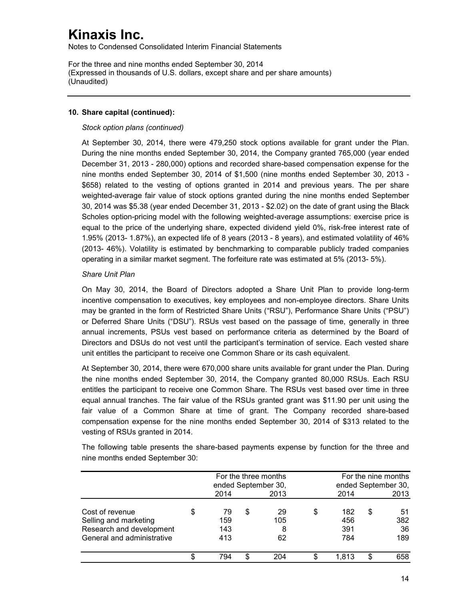Notes to Condensed Consolidated Interim Financial Statements

For the three and nine months ended September 30, 2014 (Expressed in thousands of U.S. dollars, except share and per share amounts) (Unaudited)

### **10. Share capital (continued):**

### *Stock option plans (continued)*

At September 30, 2014, there were 479,250 stock options available for grant under the Plan. During the nine months ended September 30, 2014, the Company granted 765,000 (year ended December 31, 2013 - 280,000) options and recorded share-based compensation expense for the nine months ended September 30, 2014 of \$1,500 (nine months ended September 30, 2013 - \$658) related to the vesting of options granted in 2014 and previous years. The per share weighted-average fair value of stock options granted during the nine months ended September 30, 2014 was \$5.38 (year ended December 31, 2013 - \$2.02) on the date of grant using the Black Scholes option-pricing model with the following weighted-average assumptions: exercise price is equal to the price of the underlying share, expected dividend yield 0%, risk-free interest rate of 1.95% (2013- 1.87%), an expected life of 8 years (2013 - 8 years), and estimated volatility of 46% (2013- 46%). Volatility is estimated by benchmarking to comparable publicly traded companies operating in a similar market segment. The forfeiture rate was estimated at 5% (2013- 5%).

### *Share Unit Plan*

On May 30, 2014, the Board of Directors adopted a Share Unit Plan to provide long-term incentive compensation to executives, key employees and non-employee directors. Share Units may be granted in the form of Restricted Share Units ("RSU"), Performance Share Units ("PSU") or Deferred Share Units ("DSU"). RSUs vest based on the passage of time, generally in three annual increments, PSUs vest based on performance criteria as determined by the Board of Directors and DSUs do not vest until the participant's termination of service. Each vested share unit entitles the participant to receive one Common Share or its cash equivalent.

At September 30, 2014, there were 670,000 share units available for grant under the Plan. During the nine months ended September 30, 2014, the Company granted 80,000 RSUs. Each RSU entitles the participant to receive one Common Share. The RSUs vest based over time in three equal annual tranches. The fair value of the RSUs granted grant was \$11.90 per unit using the fair value of a Common Share at time of grant. The Company recorded share-based compensation expense for the nine months ended September 30, 2014 of \$313 related to the vesting of RSUs granted in 2014.

|                                                        |                 |   | For the nine months<br>For the three months<br>ended September 30,<br>ended September 30, |    |            |    |           |  |
|--------------------------------------------------------|-----------------|---|-------------------------------------------------------------------------------------------|----|------------|----|-----------|--|
|                                                        | 2014            |   | 2013                                                                                      |    | 2014       |    | 2013      |  |
| Cost of revenue<br>Selling and marketing               | \$<br>79<br>159 | S | 29<br>105                                                                                 | \$ | 182<br>456 | \$ | 51<br>382 |  |
| Research and development<br>General and administrative | 143<br>413      |   | 8<br>62                                                                                   |    | 391<br>784 |    | 36<br>189 |  |
|                                                        | 794             | S |                                                                                           |    | 1.813      | S  | 658       |  |

The following table presents the share-based payments expense by function for the three and nine months ended September 30: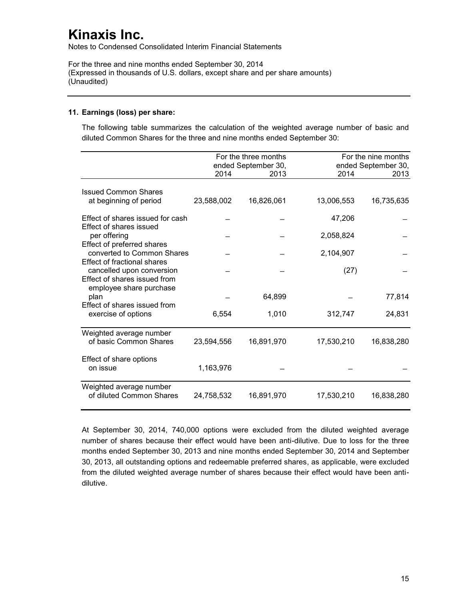Notes to Condensed Consolidated Interim Financial Statements

For the three and nine months ended September 30, 2014 (Expressed in thousands of U.S. dollars, except share and per share amounts) (Unaudited)

### **11. Earnings (loss) per share:**

The following table summarizes the calculation of the weighted average number of basic and diluted Common Shares for the three and nine months ended September 30:

|                                                                    | For the three months<br>ended September 30, |            |            | For the nine months<br>ended September 30, |
|--------------------------------------------------------------------|---------------------------------------------|------------|------------|--------------------------------------------|
|                                                                    | 2014                                        | 2013       | 2014       | 2013                                       |
| <b>Issued Common Shares</b>                                        |                                             |            |            |                                            |
| at beginning of period                                             | 23,588,002                                  | 16,826,061 | 13,006,553 | 16,735,635                                 |
| Effect of shares issued for cash<br><b>Effect of shares issued</b> |                                             |            | 47,206     |                                            |
| per offering<br>Effect of preferred shares                         |                                             |            | 2,058,824  |                                            |
| converted to Common Shares                                         |                                             |            | 2,104,907  |                                            |
| <b>Effect of fractional shares</b><br>cancelled upon conversion    |                                             |            | (27)       |                                            |
| Effect of shares issued from<br>employee share purchase            |                                             |            |            |                                            |
| plan                                                               |                                             | 64,899     |            | 77,814                                     |
| Effect of shares issued from<br>exercise of options                | 6,554                                       | 1,010      | 312,747    | 24,831                                     |
| Weighted average number<br>of basic Common Shares                  | 23,594,556                                  | 16,891,970 | 17,530,210 | 16,838,280                                 |
| Effect of share options<br>on issue                                | 1,163,976                                   |            |            |                                            |
| Weighted average number<br>of diluted Common Shares                | 24,758,532                                  | 16,891,970 | 17,530,210 | 16,838,280                                 |

At September 30, 2014, 740,000 options were excluded from the diluted weighted average number of shares because their effect would have been anti-dilutive. Due to loss for the three months ended September 30, 2013 and nine months ended September 30, 2014 and September 30, 2013, all outstanding options and redeemable preferred shares, as applicable, were excluded from the diluted weighted average number of shares because their effect would have been antidilutive.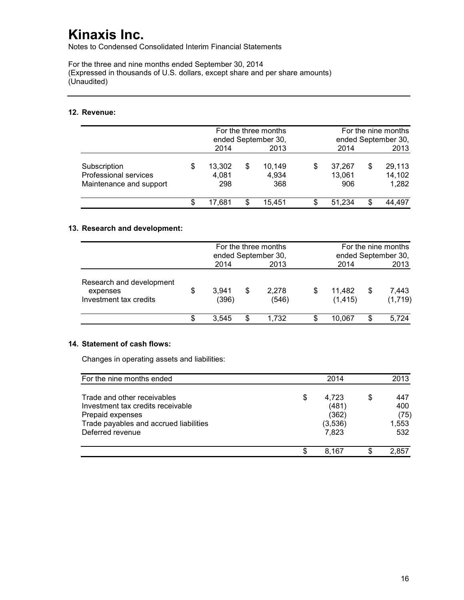Notes to Condensed Consolidated Interim Financial Statements

For the three and nine months ended September 30, 2014 (Expressed in thousands of U.S. dollars, except share and per share amounts) (Unaudited)

### **12. Revenue:**

|                                                                  |    | For the three months<br>ended September 30, |    | For the nine months<br>ended September 30, |    |                         |    |                           |
|------------------------------------------------------------------|----|---------------------------------------------|----|--------------------------------------------|----|-------------------------|----|---------------------------|
|                                                                  |    | 2014                                        |    | 2013                                       |    | 2014                    |    | 2013                      |
| Subscription<br>Professional services<br>Maintenance and support | \$ | 13,302<br>4,081<br>298                      | S  | 10.149<br>4,934<br>368                     | \$ | 37.267<br>13,061<br>906 | \$ | 29,113<br>14,102<br>1,282 |
|                                                                  | S  | 17.681                                      | \$ | 15.451                                     | \$ | 51.234                  | \$ | 44.497                    |

### **13. Research and development:**

|                                    |    | For the three months<br>ended September 30, |    | For the nine months<br>ended September 30, |    |          |   |         |
|------------------------------------|----|---------------------------------------------|----|--------------------------------------------|----|----------|---|---------|
|                                    |    | 2014                                        |    | 2013                                       |    | 2014     |   | 2013    |
| Research and development           | \$ | 3,941                                       | \$ | 2.278                                      | \$ | 11,482   | S | 7,443   |
| expenses<br>Investment tax credits |    | (396)                                       |    | (546)                                      |    | (1, 415) |   | (1,719) |
|                                    | S  | 3.545                                       | \$ | 1.732                                      |    | 10.067   | S | 5.724   |

### **14. Statement of cash flows:**

Changes in operating assets and liabilities:

| For the nine months ended                                                                                                                          |     | 2014                                        |   | 2013                               |
|----------------------------------------------------------------------------------------------------------------------------------------------------|-----|---------------------------------------------|---|------------------------------------|
| Trade and other receivables<br>Investment tax credits receivable<br>Prepaid expenses<br>Trade payables and accrued liabilities<br>Deferred revenue | S   | 4.723<br>(481)<br>(362)<br>(3,536)<br>7,823 | S | 447<br>400<br>(75)<br>1,553<br>532 |
|                                                                                                                                                    | \$. | 8.167                                       |   | 2.857                              |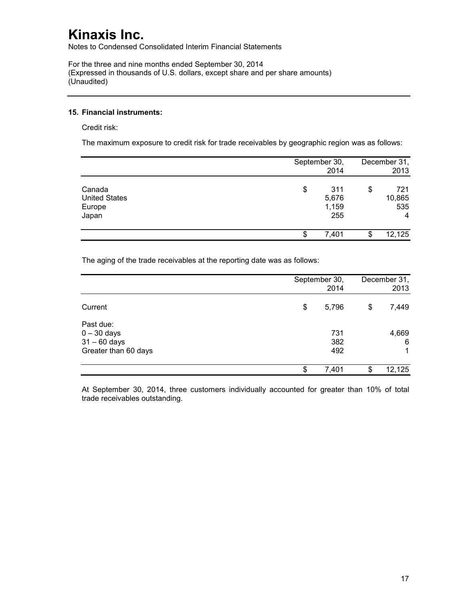Notes to Condensed Consolidated Interim Financial Statements

For the three and nine months ended September 30, 2014 (Expressed in thousands of U.S. dollars, except share and per share amounts) (Unaudited)

### **15. Financial instruments:**

Credit risk:

The maximum exposure to credit risk for trade receivables by geographic region was as follows:

|                                                   | September 30,<br>2014              | December 31,<br>2013            |
|---------------------------------------------------|------------------------------------|---------------------------------|
| Canada<br><b>United States</b><br>Europe<br>Japan | \$<br>311<br>5,676<br>1,159<br>255 | \$<br>721<br>10,865<br>535<br>4 |
|                                                   | \$<br>7,401                        | \$<br>12,125                    |

The aging of the trade receivables at the reporting date was as follows:

|                            | September 30,<br>2014 | December 31,<br>2013 |
|----------------------------|-----------------------|----------------------|
| Current                    | \$<br>5,796           | \$<br>7,449          |
| Past due:<br>$0 - 30$ days | 731                   | 4,669                |
| $31 - 60$ days             | 382                   | 6                    |
| Greater than 60 days       | 492                   | 1                    |
|                            | \$<br>7,401           | \$<br>12,125         |

At September 30, 2014, three customers individually accounted for greater than 10% of total trade receivables outstanding.